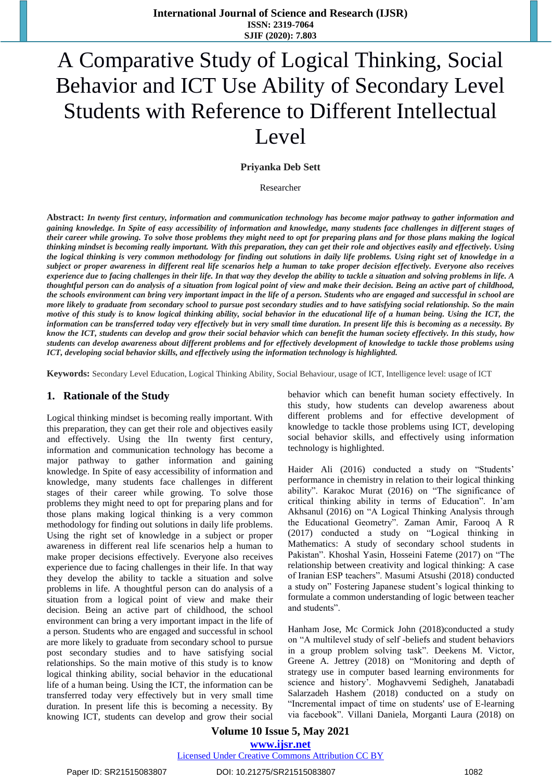# A Comparative Study of Logical Thinking, Social Behavior and ICT Use Ability of Secondary Level Students with Reference to Different Intellectual Level

### **Priyanka Deb Sett**

Researcher

**Abstract:** *In twenty first century, information and communication technology has become major pathway to gather information and gaining knowledge. In Spite of easy accessibility of information and knowledge, many students face challenges in different stages of their career while growing. To solve those problems they might need to opt for preparing plans and for those plans making the logical thinking mindset is becoming really important. With this preparation, they can get their role and objectives easily and effectively. Using the logical thinking is very common methodology for finding out solutions in daily life problems. Using right set of knowledge in a subject or proper awareness in different real life scenarios help a human to take proper decision effectively. Everyone also receives experience due to facing challenges in their life. In that way they develop the ability to tackle a situation and solving problems in life. A thoughtful person can do analysis of a situation from logical point of view and make their decision. Being an active part of childhood, the schools environment can bring very important impact in the life of a person. Students who are engaged and successful in school are more likely to graduate from secondary school to pursue post secondary studies and to have satisfying social relationship. So the main motive of this study is to know logical thinking ability, social behavior in the educational life of a human being. Using the ICT, the information can be transferred today very effectively but in very small time duration. In present life this is becoming as a necessity. By know the ICT, students can develop and grow their social behavior which can benefit the human society effectively. In this study, how students can develop awareness about different problems and for effectively development of knowledge to tackle those problems using ICT, developing social behavior skills, and effectively using the information technology is highlighted.*

**Keywords:** Secondary Level Education, Logical Thinking Ability, Social Behaviour, usage of ICT, Intelligence level: usage of ICT

### **1. Rationale of the Study**

Logical thinking mindset is becoming really important. With this preparation, they can get their role and objectives easily and effectively. Using the lIn twenty first century, information and communication technology has become a major pathway to gather information and gaining knowledge. In Spite of easy accessibility of information and knowledge, many students face challenges in different stages of their career while growing. To solve those problems they might need to opt for preparing plans and for those plans making logical thinking is a very common methodology for finding out solutions in daily life problems. Using the right set of knowledge in a subject or proper awareness in different real life scenarios help a human to make proper decisions effectively. Everyone also receives experience due to facing challenges in their life. In that way they develop the ability to tackle a situation and solve problems in life. A thoughtful person can do analysis of a situation from a logical point of view and make their decision. Being an active part of childhood, the school environment can bring a very important impact in the life of a person. Students who are engaged and successful in school are more likely to graduate from secondary school to pursue post secondary studies and to have satisfying social relationships. So the main motive of this study is to know logical thinking ability, social behavior in the educational life of a human being. Using the ICT, the information can be transferred today very effectively but in very small time duration. In present life this is becoming a necessity. By knowing ICT, students can develop and grow their social behavior which can benefit human society effectively. In this study, how students can develop awareness about different problems and for effective development of knowledge to tackle those problems using ICT, developing social behavior skills, and effectively using information technology is highlighted.

Haider Ali (2016) conducted a study on "Students' performance in chemistry in relation to their logical thinking ability". Karakoc Murat (2016) on "The significance of critical thinking ability in terms of Education". In'am Akhsanul (2016) on "A Logical Thinking Analysis through the Educational Geometry". Zaman Amir, Farooq A R (2017) conducted a study on "Logical thinking in Mathematics: A study of secondary school students in Pakistan". Khoshal Yasin, Hosseini Fateme (2017) on "The relationship between creativity and logical thinking: A case of Iranian ESP teachers". Masumi Atsushi (2018) conducted a study on" Fostering Japanese student's logical thinking to formulate a common understanding of logic between teacher and students".

Hanham Jose, Mc Cormick John (2018)conducted a study on "A multilevel study of self -beliefs and student behaviors in a group problem solving task". Deekens M. Victor, Greene A. Jettrey (2018) on "Monitoring and depth of strategy use in computer based learning environments for science and history'. Moghavvemi Sedigheh, Janatabadi Salarzadeh Hashem (2018) conducted on a study on "Incremental impact of time on students' use of E-learning via facebook". Villani Daniela, Morganti Laura (2018) on

### **Volume 10 Issue 5, May 2021 www.ijsr.net**

Licensed Under Creative Commons Attribution CC BY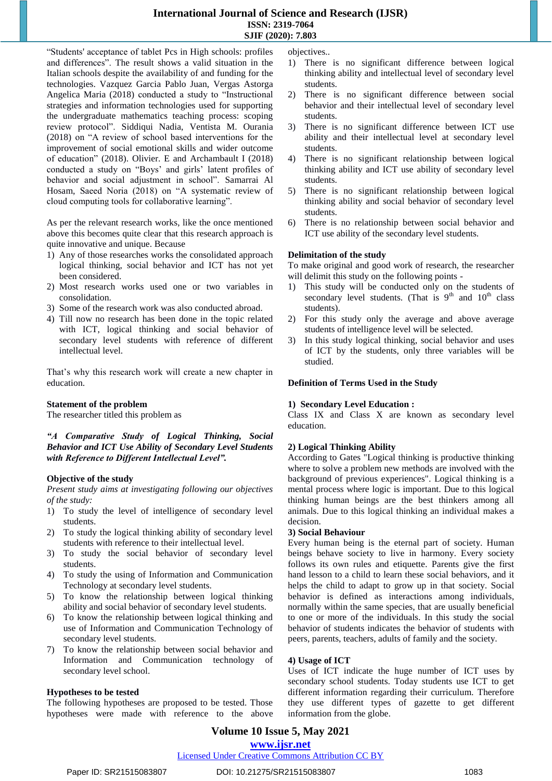### **International Journal of Science and Research (IJSR) ISSN: 2319-7064 SJIF (2020): 7.803**

"Students' acceptance of tablet Pcs in High schools: profiles and differences". The result shows a valid situation in the Italian schools despite the availability of and funding for the technologies. Vazquez Garcia Pablo Juan, Vergas Astorga Angelica Maria (2018) conducted a study to "Instructional strategies and information technologies used for supporting the undergraduate mathematics teaching process: scoping review protocol". Siddiqui Nadia, Ventista M. Ourania (2018) on "A review of school based interventions for the improvement of social emotional skills and wider outcome of education" (2018). Olivier. E and Archambault I (2018) conducted a study on "Boys' and girls' latent profiles of behavior and social adjustment in school". Samarrai Al Hosam, Saeed Noria (2018) on "A systematic review of cloud computing tools for collaborative learning".

As per the relevant research works, like the once mentioned above this becomes quite clear that this research approach is quite innovative and unique. Because

- 1) Any of those researches works the consolidated approach logical thinking, social behavior and ICT has not yet been considered.
- 2) Most research works used one or two variables in consolidation.
- 3) Some of the research work was also conducted abroad.
- 4) Till now no research has been done in the topic related with ICT, logical thinking and social behavior of secondary level students with reference of different intellectual level.

That's why this research work will create a new chapter in education.

### **Statement of the problem**

The researcher titled this problem as

### *"A Comparative Study of Logical Thinking, Social Behavior and ICT Use Ability of Secondary Level Students with Reference to Different Intellectual Level".*

### **Objective of the study**

*Present study aims at investigating following our objectives of the study:*

- 1) To study the level of intelligence of secondary level students.
- 2) To study the logical thinking ability of secondary level students with reference to their intellectual level.
- 3) To study the social behavior of secondary level students.
- 4) To study the using of Information and Communication Technology at secondary level students.
- 5) To know the relationship between logical thinking ability and social behavior of secondary level students.
- 6) To know the relationship between logical thinking and use of Information and Communication Technology of secondary level students.
- 7) To know the relationship between social behavior and Information and Communication technology of secondary level school.

### **Hypotheses to be tested**

The following hypotheses are proposed to be tested. Those hypotheses were made with reference to the above objectives..

- 1) There is no significant difference between logical thinking ability and intellectual level of secondary level students.
- 2) There is no significant difference between social behavior and their intellectual level of secondary level students.
- There is no significant difference between ICT use ability and their intellectual level at secondary level students.
- 4) There is no significant relationship between logical thinking ability and ICT use ability of secondary level students.
- 5) There is no significant relationship between logical thinking ability and social behavior of secondary level students.
- 6) There is no relationship between social behavior and ICT use ability of the secondary level students.

### **Delimitation of the study**

To make original and good work of research, the researcher will delimit this study on the following points -

- 1) This study will be conducted only on the students of secondary level students. (That is  $9<sup>th</sup>$  and  $10<sup>th</sup>$  class students).
- 2) For this study only the average and above average students of intelligence level will be selected.
- 3) In this study logical thinking, social behavior and uses of ICT by the students, only three variables will be studied.

### **Definition of Terms Used in the Study**

### **1) Secondary Level Education :**

Class IX and Class X are known as secondary level education.

### **2) Logical Thinking Ability**

According to Gates "Logical thinking is productive thinking where to solve a problem new methods are involved with the background of previous experiences". Logical thinking is a mental process where logic is important. Due to this logical thinking human beings are the best thinkers among all animals. Due to this logical thinking an individual makes a decision.

### **3) Social Behaviour**

Every human being is the eternal part of society. Human beings behave society to live in harmony. Every society follows its own rules and etiquette. Parents give the first hand lesson to a child to learn these social behaviors, and it helps the child to adapt to grow up in that society. Social behavior is defined as interactions among individuals, normally within the same species, that are usually beneficial to one or more of the individuals. In this study the social behavior of students indicates the behavior of students with peers, parents, teachers, adults of family and the society.

### **4) Usage of ICT**

Uses of ICT indicate the huge number of ICT uses by secondary school students. Today students use ICT to get different information regarding their curriculum. Therefore they use different types of gazette to get different information from the globe.

### **Volume 10 Issue 5, May 2021**

### **www.ijsr.net**

### Licensed Under Creative Commons Attribution CC BY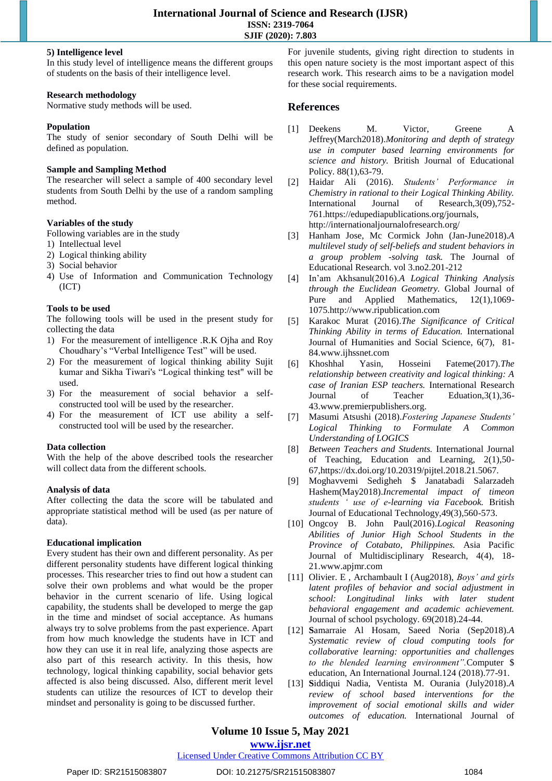### **5) Intelligence level**

In this study level of intelligence means the different groups of students on the basis of their intelligence level.

### **Research methodology**

Normative study methods will be used.

### **Population**

The study of senior secondary of South Delhi will be defined as population.

### **Sample and Sampling Method**

The researcher will select a sample of 400 secondary level students from South Delhi by the use of a random sampling method.

### **Variables of the study**

Following variables are in the study

- 1) Intellectual level
- 2) Logical thinking ability
- 3) Social behavior
- 4) Use of Information and Communication Technology (ICT)

### **Tools to be used**

The following tools will be used in the present study for collecting the data

- 1) For the measurement of intelligence .R.K Ojha and Roy Choudhary's "Verbal Intelligence Test" will be used.
- 2) For the measurement of logical thinking ability Sujit kumar and Sikha Tiwari's "Logical thinking test" will be used.
- 3) For the measurement of social behavior a selfconstructed tool will be used by the researcher.
- 4) For the measurement of ICT use ability a selfconstructed tool will be used by the researcher.

### **Data collection**

With the help of the above described tools the researcher will collect data from the different schools.

### **Analysis of data**

After collecting the data the score will be tabulated and appropriate statistical method will be used (as per nature of data).

### **Educational implication**

Every student has their own and different personality. As per different personality students have different logical thinking processes. This researcher tries to find out how a student can solve their own problems and what would be the proper behavior in the current scenario of life. Using logical capability, the students shall be developed to merge the gap in the time and mindset of social acceptance. As humans always try to solve problems from the past experience. Apart from how much knowledge the students have in ICT and how they can use it in real life, analyzing those aspects are also part of this research activity. In this thesis, how technology, logical thinking capability, social behavior gets affected is also being discussed. Also, different merit level students can utilize the resources of ICT to develop their mindset and personality is going to be discussed further.

For juvenile students, giving right direction to students in this open nature society is the most important aspect of this research work. This research aims to be a navigation model for these social requirements.

### **References**

- [1] Deekens M. Victor, Greene A Jeffrey(March2018).*Monitoring and depth of strategy use in computer based learning environments for science and history.* British Journal of Educational Policy. 88(1),63-79.
- [2] Haidar Ali (2016). *Students' Performance in Chemistry in rational to their Logical Thinking Ability.*  International Journal of Research,3(09),752- 761.https://edupediapublications.org/journals, http://internationaljournalofresearch.org/
- [3] Hanham Jose, Mc Cormick John (Jan-June2018).*A multilevel study of self-beliefs and student behaviors in a group problem -solving task.* The Journal of Educational Research. vol 3.no2.201-212
- [4] In'am Akhsanul(2016).*A Logical Thinking Analysis through the Euclidean Geometry.* Global Journal of Pure and Applied Mathematics, 12(1),1069- 1075.http://www.ripublication.com
- [5] Karakoc Murat (2016).*The Significance of Critical Thinking Ability in terms of Education.* International Journal of Humanities and Social Science, 6(7), 81- 84.www.ijhssnet.com
- [6] Khoshhal Yasin, Hosseini Fateme(2017).*The relationship between creativity and logical thinking: A case of Iranian ESP teachers.* International Research Journal of Teacher Eduation,3(1),36- 43.www.premierpublishers.org.
- [7] Masumi Atsushi (2018).*Fostering Japanese Students' Logical Thinking to Formulate A Common Understanding of LOGICS*
- [8] *Between Teachers and Students.* International Journal of Teaching, Education and Learning, 2(1),50- 67,https://dx.doi.org/10.20319/pijtel.2018.21.5067.
- [9] Moghavvemi Sedigheh \$ Janatabadi Salarzadeh Hashem(May2018).*Incremental impact of timeon students ' use of e-learning via Facebook.* British Journal of Educational Technology,49(3),560-573.
- [10] Ongcoy B. John Paul(2016).*Logical Reasoning Abilities of Junior High School Students in the Province of Cotabato, Philippines.* Asia Pacific Journal of Multidisciplinary Research, 4(4), 18- 21.www.apjmr.com
- [11] Olivier. E , Archambault I (Aug2018), *Boys' and girls latent profiles of behavior and social adjustment in school: Longitudinal links with later student behavioral engagement and academic achievement.* Journal of school psychology. 69(2018).24-44.
- [12] **S**amarraie Al Hosam, Saeed Noria (Sep2018).*A Systematic review of cloud computing tools for collaborative learning: opportunities and challenges to the blended learning environment".*Computer \$ education, An International Journal.124 (2018).77-91.
- [13] **S**iddiqui Nadia, Ventista M. Ourania (July2018).*A review of school based interventions for the improvement of social emotional skills and wider outcomes of education.* International Journal of

## **Volume 10 Issue 5, May 2021**

**www.ijsr.net** Licensed Under Creative Commons Attribution CC BY